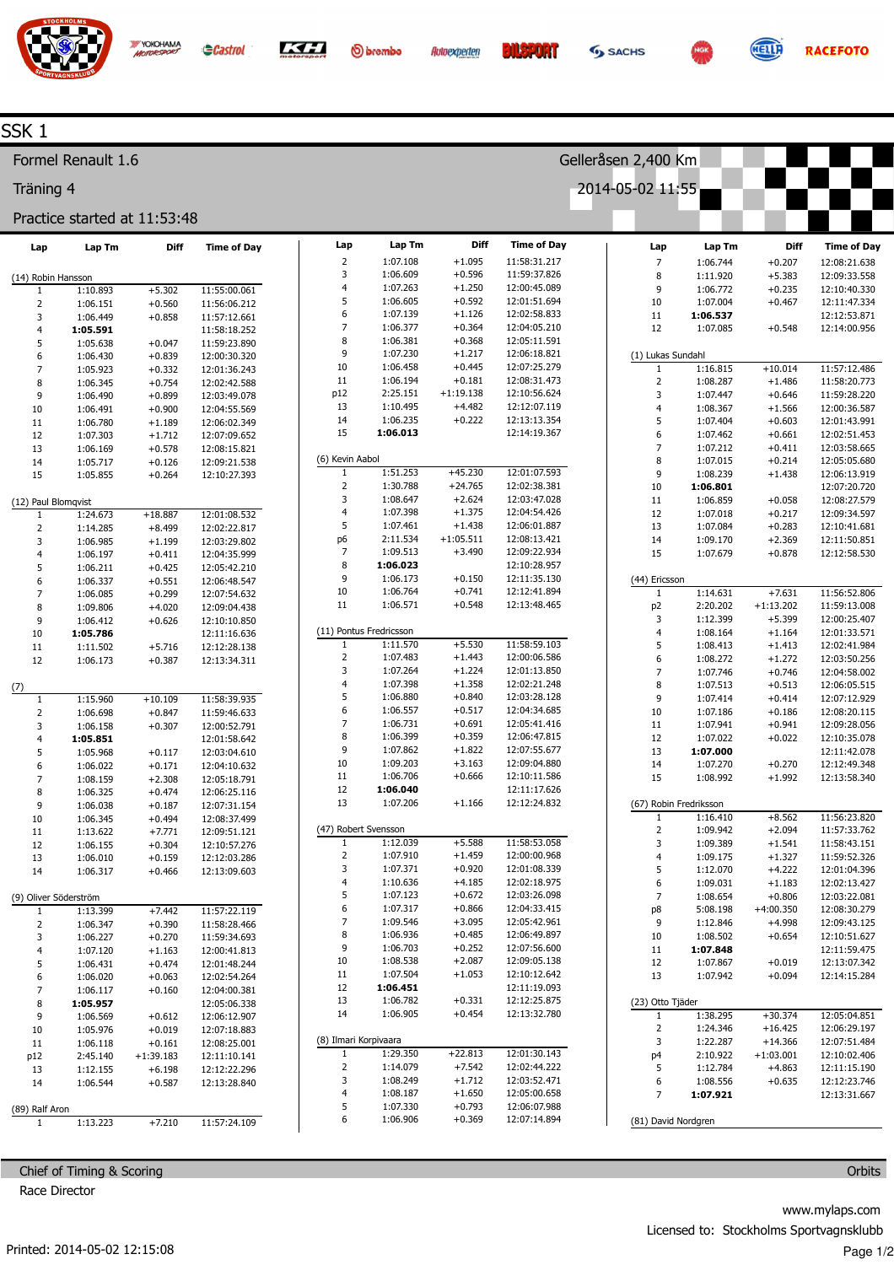

**O**brembo



Diff

 $+1.095$ 

 $+0.596$ 

 $+1.250$ 

 $+0.592$ 

 $+1.126$ 

 $+0.364$ 

 $+0.368$ 

 $+1.217$ 

 $+0.445$ 

 $+0.181$ 

 $+4.482$ 

 $+0.222$ 

 $+45.230$ 

 $+24.765$ 

 $+2.624$ 

 $+1.375$ 

 $+1.438$ 

 $+3.490$ 

 $+0.150$ 

 $+0.741$ 

 $+0.548$ 

 $+5.530$ 

 $+1.443$ 

 $+1.224$ 

 $+1.358$ 

 $+0.840$ 

 $+0.517$ 

 $+0.691$ 

 $+0.359$ 

 $+1.822$ 

 $+3.163$ 

 $+0.666$ 

 $+1.166$ 

 $+5.588$ 

 $+1.459$ 

 $+0.920$ 

 $+4.185$ 

 $+0.672$ 

 $+0.866$ 

 $+3.095$ 

 $+0.485$ 

 $+0.252$ 

 $+2.087$ 

 $+1.053$ 

 $+0.331$ 

 $+0.454$ 

 $+22.813$ 

 $+7.542$ 

 $+1.712$ 

 $+1.650$ 

 $+0.793$ 

 $+0.369$ 

 $+1:05.511$ 

 $+1:19.138$ 

**Time of Day** 

11:58:31.217

11:59:37.826

12:00:45.089

12:01:51.694

 $12.02.58.833$ 

12:04:05.210

12:05:11.591

12:06:18.821

12:07:25.279

12:08:31.473

12:10:56.624

12:12:07.119

12:13:13.354

12:14:19.367

12:01:07.593

12:02:38.381

12:03:47.028

12:04:54.426

12:06:01.887

12:08:13.421

12:09:22.934

12:10:28.957

12:11:35.130

12:12:41.894

12:13:48 465

11:58:59.103

12:00:06.586

12:01:13.850

12:02:21.248

12:03:28.128

12:04:34.685

 $12.05:41.416$ 

12:06:47.815

12:07:55.677

12:09:04.880

12:10:11.586

12:11:17.626

 $12.12.24832$ 

11:58:53.058

12:00:00.968

12:01:08.339

12:02:18.975

12:03:26.098

12:04:33.415

 $12.05.42961$ 

12:06:49.897

12:07:56.600

12:09:05.138

12:10:12.642

12:11:19.093

12:12:25.875

12:13:32.780

12:01:30.143

12:02:44.222

Gelleråsen 2,400 Km

2014-05-02 11:55

Lap

 $\overline{7}$ 

 $\mathbf{R}$ 

 $\overline{9}$ 

10

11

 $12$ 

 $\overline{1}$ 

 $\overline{2}$ 

 $\overline{\mathbf{3}}$ 

 $\overline{a}$ 

5

 $\boldsymbol{6}$  $\overline{7}$ 

 $\mathbf{g}$ 

 $\mathsf{q}$ 

10

 $11$ 

12

13

14

15

(44) Ericsson

 $\overline{1}$ 

p<sub>2</sub>

 $\overline{\mathbf{3}}$  $\overline{\mathbf{r}}$ 

5

6

 $\overline{7}$ 

8

 $\mathsf{q}$ 

10

 $11$ 

 $12$ 

13

14

 $15$ 

ī

 $\overline{2}$ 

 $\overline{\mathbf{3}}$ 

 $\overline{4}$ 

5

6

 $\overline{7}$ 

p8

 $\overline{9}$ 

 $10$ 

 $11$ 

 $12$ 

 $13$ 

(23) Otto Tjäder

 $\overline{1}$  $\overline{2}$ 

 $\overline{\mathbf{3}}$ 

 $p4$ 

 $\overline{\phantom{a}}$ 

(67) Robin Fredriksson

(1) Lukas Sundahl

Lap Tm

1:06.744

 $1.11920$ 

1:06.772

1:07.004

1:06.537

1:07.085

1:16.815

1:08.287

1:07.447

1:08.367

1:07.404

1:07.462

1:07.212

 $1:07.015$ 

 $1.08239$ 

1:06.801

1:06.859

1:07.018

1:07.084

1:09.170

1:07.679

 $1.14631$ 

2:20.202

1:12.399

1:08.164

1:08.413

1:08.272

1:07.746

1:07.513

1:07.414

1:07.186

1:07.941

1:07.022

1:07.000

1:07.270

 $1:08.992$ 

1:16.410

1:09.942

1:09.389

1:09.175

 $1:12.070$ 

1:09.031

1:08.654

5:08.198

1:12.846

1:08.502

1:07.848

1:07.867

1:07.942

1:38.295

1:24.346

1:22.287

2:10.922

1:12.784



Diff

 $+0.207$ 

 $+5.383$ 

 $+0.235$ 

 $+0.467$ 

 $+0.548$ 

 $+10.014$ 

 $+1.486$ 

 $+0.646$ 

 $+1.566$ 

 $+0.603$ 

 $+0.661$ 

 $+0.411$ 

 $+0.214$ 

 $+1.438$ 

 $+0.058$ 

 $+0.217$ 

 $+0.283$ 

 $+2.369$ 

 $+0.878$ 

 $+7631$ 

 $+5.399$ 

 $+1.164$ 

 $+1.413$ 

 $+1.272$ 

 $+0.746$ 

 $+0.513$ 

 $+0.414$ 

 $+0.186$ 

 $+0.941$ 

 $+0.022$ 

 $+0.270$ 

 $+1.992$ 

 $+8.562$ 

 $+2.094$ 

 $+1.541$ 

 $+1.327$ 

 $+4.222$ 

 $+1.183$ 

 $+0.806$ 

 $+4.998$ 

 $+0.654$ 

 $+0.019$ 

 $+0.094$ 

 $+30.374$ 

 $+16.425$ 

 $+14.366$ 

 $+4.863$ 

 $+1:03.001$ 

 $+4:00.350$ 

 $+1:13.202$ 

**Time of Dav** 

12:08:21.638

 $12.09.33558$ 

12:10:40.330

12:11:47.334

12:12:53.871

12:14:00.956

11:57:12.486

 $11.58.20772$ 

11:59:28.220

12:00:36.587

12:01:43.991

12:02:51.453

12:03:58.665

12:05:05.680

 $12.06.139$ 

12:07:20.720

12:08:27.579

12:09:34.597

12:10:41.681

12:11:50.851

12:12:58.530

 $11.56.52$  806

11:59:13.008

12:00:25.407

12:01:33.571

12:02:41.984

12:03:50.256

12:04:58.002

12:06:05.515

12:07:12.929

12:08:20.115

12:09:28.056

12:10:35.078

12:11:42.078

12:12:49.348

12:13:58.340

11:56:23.820

11:57:33.762

11:58:43.151

11:59:52.326

12:01:04.396

12:02:13.427

12:03:22.081

12:08:30.279

12:09:43.125

12:10:51.627

12:11:59.475

12:13:07.342

12:14:15.284

12:05:04.851

12:06:29.197

12:07:51.484

12:10:02.406

12:11:15.190

**RACEFOTO** 

## SSK<sub>1</sub>

Formel Renault 1.6

Träning 4

## Practice started at 11:53:48

YOKOHAMA

| Lap                   | Lap Tm               | <b>Diff</b>          | <b>Time of Day</b>           | Lap                   | Lap Tm                              |
|-----------------------|----------------------|----------------------|------------------------------|-----------------------|-------------------------------------|
|                       |                      |                      |                              | 2                     | 1:07.108                            |
| (14) Robin Hansson    |                      |                      |                              | 3                     | 1:06.609                            |
| 1                     | 1:10.893             | $+5.302$             | 11:55:00.061                 | 4                     | 1:07.263                            |
| 2                     | 1:06.151             | $+0.560$             | 11:56:06.212                 | 5                     | 1:06.605                            |
| 3                     | 1:06.449             | $+0.858$             | 11:57:12.661                 | 6                     | 1:07.139                            |
| 4                     | 1:05.591             |                      | 11:58:18.252                 | 7                     | 1:06.377                            |
| 5                     | 1:05.638             | $+0.047$             | 11:59:23.890                 | 8<br>9                | 1:06.381<br>1:07.230                |
| 6                     | 1:06.430             | $+0.839$             | 12:00:30.320                 | 10                    | 1:06.458                            |
| 7                     | 1:05.923             | $+0.332$             | 12:01:36.243                 | 11                    | 1:06.194                            |
| 8                     | 1:06.345             | $+0.754$             | 12:02:42.588                 | p12                   | 2:25.151                            |
| 9<br>10               | 1:06.490<br>1:06.491 | $+0.899$<br>$+0.900$ | 12:03:49.078<br>12:04:55.569 | 13                    | 1:10.495                            |
| 11                    | 1:06.780             | $+1.189$             | 12:06:02.349                 | 14                    | 1:06.235                            |
| 12                    | 1:07.303             | $+1.712$             | 12:07:09.652                 | 15                    | 1:06.013                            |
| 13                    | 1:06.169             | $+0.578$             | 12:08:15.821                 |                       |                                     |
| 14                    | 1:05.717             | $+0.126$             | 12:09:21.538                 | (6) Kevin Aabol       |                                     |
| 15                    | 1:05.855             | $+0.264$             | 12:10:27.393                 | 1                     | 1:51.253                            |
|                       |                      |                      |                              | 2                     | 1:30.788                            |
| (12) Paul Blomqvist   |                      |                      |                              | 3                     | 1:08.647                            |
| 1                     | 1:24.673             | $+18.887$            | 12:01:08.532                 | 4                     | 1:07.398                            |
| $\overline{2}$        | 1:14.285             | $+8.499$             | 12:02:22.817                 | 5                     | 1:07.461                            |
| 3                     | 1:06.985             | $+1.199$             | 12:03:29.802                 | р6                    | 2:11.534                            |
| 4                     | 1:06.197             | $+0.411$             | 12:04:35.999                 | 7                     | 1:09.513                            |
| 5                     | 1:06.211             | $+0.425$             | 12:05:42.210                 | 8                     | 1:06.023                            |
| 6                     | 1:06.337             | $+0.551$             | 12:06:48.547                 | 9                     | 1:06.173                            |
| 7                     | 1:06.085             | $+0.299$             | 12:07:54.632                 | 10                    | 1:06.764                            |
| 8                     | 1:09.806             | $+4.020$             | 12:09:04.438                 | 11                    | 1:06.571                            |
| 9                     | 1:06.412             | $+0.626$             | 12:10:10.850                 |                       |                                     |
| 10                    | 1:05.786             |                      | 12:11:16.636                 | 1                     | (11) Pontus Fredricsson<br>1:11.570 |
| 11                    | 1:11.502             | $+5.716$             | 12:12:28.138                 | 2                     |                                     |
| 12                    | 1:06.173             | $+0.387$             | 12:13:34.311                 | 3                     | 1:07.483<br>1:07.264                |
|                       |                      |                      |                              | 4                     | 1:07.398                            |
| (7)<br>1              | 1:15.960             | $+10.109$            | 11:58:39.935                 | 5                     | 1:06.880                            |
| $\overline{2}$        | 1:06.698             | $+0.847$             | 11:59:46.633                 | 6                     | 1:06.557                            |
| 3                     | 1:06.158             | $+0.307$             | 12:00:52.791                 | 7                     | 1:06.731                            |
| 4                     | 1:05.851             |                      | 12:01:58.642                 | 8                     | 1:06.399                            |
| 5                     | 1:05.968             | $+0.117$             | 12:03:04.610                 | 9                     | 1:07.862                            |
| 6                     | 1:06.022             | $+0.171$             | 12:04:10.632                 | 10                    | 1:09.203                            |
| 7                     | 1:08.159             | $+2.308$             | 12:05:18.791                 | 11                    | 1:06.706                            |
| 8                     | 1:06.325             | $+0.474$             | 12:06:25.116                 | 12                    | 1:06.040                            |
| 9                     | 1:06.038             | $+0.187$             | 12:07:31.154                 | 13                    | 1:07.206                            |
| 10                    | 1:06.345             | $+0.494$             | 12:08:37.499                 |                       |                                     |
| 11                    | 1:13.622             | $+7.771$             | 12:09:51.121                 | (47) Robert Svensson  |                                     |
| 12                    | 1:06.155             | $+0.304$             | 12:10:57.276                 | 1                     | 1:12.039                            |
| 13                    | 1:06.010             | $+0.159$             | 12:12:03.286                 | 2                     | 1:07.910                            |
| 14                    | 1:06.317             | $+0.466$             | 12:13:09.603                 | 3                     | 1:07.371                            |
|                       |                      |                      |                              | 4                     | 1:10.636                            |
| (9) Oliver Söderström |                      |                      |                              | 5<br>6                | 1:07.123                            |
| 1                     | 1:13.399             | $+7.442$             | 11:57:22.119                 | 7                     | 1:07.317<br>1:09.546                |
| 2                     | 1:06.347             | $+0.390$             | 11:58:28.466                 | 8                     | 1:06.936                            |
| 3                     | 1:06.227             | $+0.270$             | 11:59:34.693                 | 9                     | 1:06.703                            |
| 4<br>5                | 1:07.120<br>1:06.431 | $+1.163$             | 12:00:41.813<br>12:01:48.244 | 10                    | 1:08.538                            |
| 6                     | 1:06.020             | $+0.474$<br>$+0.063$ | 12:02:54.264                 | 11                    | 1:07.504                            |
| 7                     | 1:06.117             | $+0.160$             | 12:04:00.381                 | 12                    | 1:06.451                            |
| 8                     | 1:05.957             |                      | 12:05:06.338                 | 13                    | 1:06.782                            |
| 9                     | 1:06.569             | $+0.612$             | 12:06:12.907                 | 14                    | 1:06.905                            |
| 10                    | 1:05.976             | $+0.019$             | 12:07:18.883                 |                       |                                     |
| 11                    | 1:06.118             | $+0.161$             | 12:08:25.001                 | (8) Ilmari Korpivaara |                                     |
| p12                   | 2:45.140             | +1:39.183            | 12:11:10.141                 | 1                     | 1:29.350                            |
| 13                    | 1:12.155             | $+6.198$             | 12:12:22.296                 | 2                     | 1:14.079                            |
| 14                    | 1:06.544             | $+0.587$             | 12:13:28.840                 | 3                     | 1:08.249                            |
|                       |                      |                      |                              | 4                     | 1:08.187                            |
| (89) Ralf Aron        |                      |                      |                              | 5                     | 1:07.330                            |
| 1                     | 1:13.223             | $+7.210$             | 11:57:24.109                 | 6                     | 1:06.906                            |

Chief of Timing & Scoring

Race Director

Orbits laps.com aansklubb Page 1/2

| 12:03:52.471<br>12:05:00.658<br>12:06:07.988 | 6<br>7              | 1:08.556<br>1:07.921                   | $+0.635$ | 12:12:23.746<br>12:13:31.667 |
|----------------------------------------------|---------------------|----------------------------------------|----------|------------------------------|
| 12:07:14.894                                 | (81) David Nordgren |                                        |          |                              |
|                                              |                     |                                        |          |                              |
|                                              |                     |                                        |          |                              |
|                                              |                     |                                        |          | Orbit                        |
|                                              |                     |                                        |          |                              |
|                                              |                     |                                        |          | www.mylaps.con               |
|                                              |                     | Licensed to: Stockholms Sportvagnsklub |          |                              |
|                                              |                     |                                        |          | Page                         |
|                                              |                     |                                        |          |                              |
|                                              |                     |                                        |          |                              |